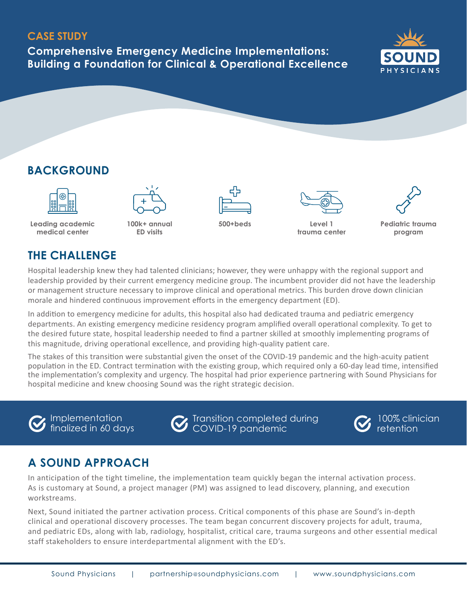#### **CASE STUDY**

**Comprehensive Emergency Medicine Implementations: Building a Foundation for Clinical & Operational Excellence**



# **BACKGROUND**



**Leading academic medical center**



**100k+ annual ED visits**







**500+beds Level 1 trauma center**

**Pediatric trauma program**

### **THE CHALLENGE**

Hospital leadership knew they had talented clinicians; however, they were unhappy with the regional support and leadership provided by their current emergency medicine group. The incumbent provider did not have the leadership or management structure necessary to improve clinical and operational metrics. This burden drove down clinician morale and hindered continuous improvement efforts in the emergency department (ED).

In addition to emergency medicine for adults, this hospital also had dedicated trauma and pediatric emergency departments. An existing emergency medicine residency program amplified overall operational complexity. To get to the desired future state, hospital leadership needed to find a partner skilled at smoothly implementing programs of this magnitude, driving operational excellence, and providing high-quality patient care.

The stakes of this transition were substantial given the onset of the COVID-19 pandemic and the high-acuity patient population in the ED. Contract termination with the existing group, which required only a 60-day lead time, intensified the implementation's complexity and urgency. The hospital had prior experience partnering with Sound Physicians for hospital medicine and knew choosing Sound was the right strategic decision.

Implementation finalized in 60 days

Transition completed during COVID-19 pandemic



100% clinician retention

# **A SOUND APPROACH**

In anticipation of the tight timeline, the implementation team quickly began the internal activation process. As is customary at Sound, a project manager (PM) was assigned to lead discovery, planning, and execution workstreams.

Next, Sound initiated the partner activation process. Critical components of this phase are Sound's in-depth clinical and operational discovery processes. The team began concurrent discovery projects for adult, trauma, and pediatric EDs, along with lab, radiology, hospitalist, critical care, trauma surgeons and other essential medical staff stakeholders to ensure interdepartmental alignment with the ED's.